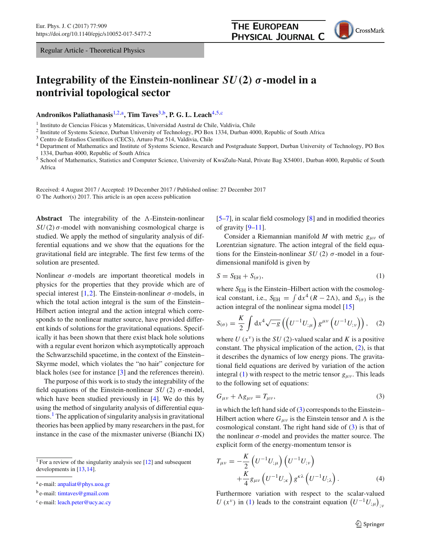## **Integrability of the Einstein-nonlinear** *SU(***2***) σ***-model in a nontrivial topological sector**

**Andronikos Paliathanasis**[1,2,](#page-0-0)a**, Tim Taves**[3,](#page-0-1)b**, P. G. L. Leach**[4](#page-0-2)[,5,](#page-0-3)c

<sup>1</sup> Instituto de Ciencias Físicas y Matemáticas, Universidad Austral de Chile, Valdivia, Chile

<sup>2</sup> Institute of Systems Science, Durban University of Technology, PO Box 1334, Durban 4000, Republic of South Africa

<sup>3</sup> Centro de Estudios Científicos (CECS), Arturo Prat 514, Valdivia, Chile

<sup>4</sup> Department of Mathematics and Institute of Systems Science, Research and Postgraduate Support, Durban University of Technology, PO Box 1334, Durban 4000, Republic of South Africa

<sup>5</sup> School of Mathematics, Statistics and Computer Science, University of KwaZulu-Natal, Private Bag X54001, Durban 4000, Republic of South Africa

Received: 4 August 2017 / Accepted: 19 December 2017 / Published online: 27 December 2017 © The Author(s) 2017. This article is an open access publication

Abstract The integrability of the  $\Lambda$ -Einstein-nonlinear  $SU(2)$   $\sigma$ -model with nonvanishing cosmological charge is studied. We apply the method of singularity analysis of differential equations and we show that the equations for the gravitational field are integrable. The first few terms of the solution are presented.

Nonlinear  $\sigma$ -models are important theoretical models in physics for the properties that they provide which are of special interest [\[1](#page-3-0),[2](#page-3-1)]. The Einstein-nonlinear  $\sigma$ -models, in which the total action integral is the sum of the Einstein– Hilbert action integral and the action integral which corresponds to the nonlinear matter source, have provided different kinds of solutions for the gravitational equations. Specifically it has been shown that there exist black hole solutions with a regular event horizon which asymptotically approach the Schwarzschild spacetime, in the context of the Einstein– Skyrme model, which violates the "no hair" conjecture for black holes (see for instance [\[3\]](#page-3-2) and the references therein).

The purpose of this work is to study the integrability of the field equations of the Einstein-nonlinear  $SU(2)$   $\sigma$ -model, which have been studied previously in  $[4]$  $[4]$ . We do this by using the method of singularity analysis of differential equations.<sup>1</sup> The application of singularity analysis in gravitational theories has been applied by many researchers in the past, for instance in the case of the mixmaster universe (Bianchi IX)

<sup>1</sup> For a review of the singularity analysis see [\[12\]](#page-3-4) and subsequent developments in [\[13,](#page-3-5)[14](#page-3-6)].

<span id="page-0-3"></span><span id="page-0-2"></span>[\[5](#page-3-7)[–7](#page-3-8)], in scalar field cosmology [\[8\]](#page-3-9) and in modified theories of gravity  $[9-11]$  $[9-11]$ .

**THE EUROPEAN** 

<span id="page-0-1"></span><span id="page-0-0"></span>PHYSICAL JOURNAL C

Consider a Riemannian manifold *M* with metric *g*μν of Lorentzian signature. The action integral of the field equations for the Einstein-nonlinear *SU* (2)  $\sigma$ -model in a fourdimensional manifold is given by

<span id="page-0-5"></span>
$$
S = S_{\text{EH}} + S_{(\sigma)},\tag{1}
$$

where  $S_{EH}$  is the Einstein–Hilbert action with the cosmological constant, i.e.,  $S_{EH} = \int dx^4 (R - 2\Lambda)$ , and  $S_{(\sigma)}$  is the action integral of the nonlinear sigma model [\[15](#page-3-12)]

<span id="page-0-4"></span>
$$
S_{(\sigma)} = \frac{K}{2} \int \mathrm{d}x^4 \sqrt{-g} \left( \left( U^{-1} U_{;\mu} \right) g^{\mu \nu} \left( U^{-1} U_{;\nu} \right) \right), \quad (2)
$$

where  $U(x^{\nu})$  is the *SU* (2)-valued scalar and *K* is a positive constant. The physical implication of the action, [\(2\)](#page-0-4), is that it describes the dynamics of low energy pions. The gravitational field equations are derived by variation of the action integral [\(1\)](#page-0-5) with respect to the metric tensor  $g_{\mu\nu}$ . This leads to the following set of equations:

<span id="page-0-6"></span>
$$
G_{\mu\nu} + \Lambda g_{\mu\nu} = T_{\mu\nu},\tag{3}
$$

in which the left hand side of  $(3)$  corresponds to the Einstein– Hilbert action where  $G_{\mu\nu}$  is the Einstein tensor and  $\Lambda$  is the cosmological constant. The right hand side of [\(3\)](#page-0-6) is that of the nonlinear  $\sigma$ -model and provides the matter source. The explicit form of the energy-momentum tensor is

<span id="page-0-7"></span>
$$
T_{\mu\nu} = -\frac{K}{2} \left( U^{-1} U_{;\mu} \right) \left( U^{-1} U_{;\nu} \right) +\frac{K}{4} g_{\mu\nu} \left( U^{-1} U_{;\kappa} \right) g^{\kappa\lambda} \left( U^{-1} U_{;\lambda} \right).
$$
 (4)

Furthermore variation with respect to the scalar-valued  $U(x^{\nu})$  in [\(1\)](#page-0-5) leads to the constraint equation  $(U^{-1}U_{;\mu})_{;\nu}$ 

<sup>a</sup> e-mail: [anpaliat@phys.uoa.gr](mailto:anpaliat@phys.uoa.gr)

<sup>b</sup> e-mail: [timtaves@gmail.com](mailto:timtaves@gmail.com)

<sup>c</sup> e-mail: [leach.peter@ucy.ac.cy](mailto:leach.peter@ucy.ac.cy)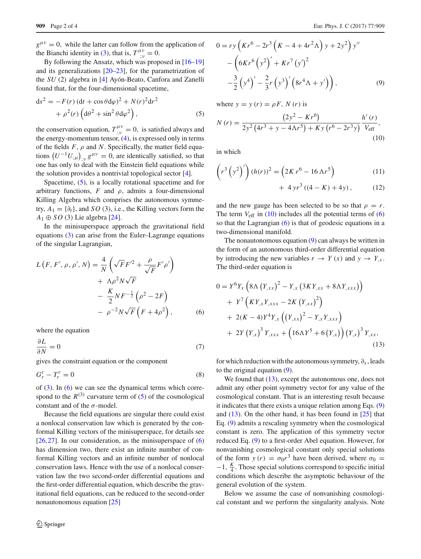$g^{\mu\nu} = 0$ , while the latter can follow from the application of the Bianchi identity in [\(3\)](#page-0-6), that is,  $T^{\mu\nu}_{;\nu} = 0$ .

By following the Ansatz, which was proposed in [\[16](#page-3-13)[–19\]](#page-3-14) and its generalizations [\[20](#page-3-15)[–23](#page-3-16)], for the parametrization of the *SU* (2) algebra in [\[4\]](#page-3-3) Ayón-Beato, Canfora and Zanelli found that, for the four-dimensional spacetime,

<span id="page-1-0"></span>
$$
ds^{2} = -F(r) (dt + \cos \theta d\varphi)^{2} + N(r)^{2} dr^{2}
$$

$$
+ \rho^{2}(r) (d\theta^{2} + \sin^{2} \theta d\varphi^{2}),
$$
(5)

the conservation equation,  $T^{\mu\nu}_{;\nu} = 0$ , is satisfied always and the energy-momentum tensor, [\(4\)](#page-0-7), is expressed only in terms of the fields  $F$ ,  $\rho$  and  $N$ . Specifically, the matter field equations  $(U^{-1}U_{;\mu})_{;\nu} g^{\mu\nu} = 0$ , are identically satisfied, so that one has only to deal with the Einstein field equations while the solution provides a nontrivial topological sector [\[4\]](#page-3-3).

Spacetime, [\(5\)](#page-1-0), is a locally rotational spacetime and for arbitrary functions,  $F$  and  $\rho$ , admits a four-dimensional Killing Algebra which comprises the autonomous symmetry,  $A_1 = \{\partial_t\}$ , and *SO* (3), i.e., the Killing vectors form the  $A_1 \oplus SO(3)$  Lie algebra [\[24\]](#page-3-17).

In the minisuperspace approach the gravitational field equations [\(3\)](#page-0-6) can arise from the Euler–Lagrange equations of the singular Lagrangian,

$$
L(F, F', \rho, \rho', N) = \frac{4}{N} \left( \sqrt{F} F'^2 + \frac{\rho}{\sqrt{F}} F' \rho' \right)
$$
  
+  $\Lambda \rho^2 N \sqrt{F}$   
-  $\frac{K}{2} N F^{-\frac{1}{2}} (\rho^2 - 2F)$   
-  $\rho^{-2} N \sqrt{F} (F + 4\rho^2)$ , (6)

where the equation

$$
\frac{\partial L}{\partial N} = 0\tag{7}
$$

gives the constraint equation or the component

$$
G_r^r - T_r^r = 0 \tag{8}
$$

of  $(3)$ . In  $(6)$  we can see the dynamical terms which correspond to the  $R^{(3)}$  curvature term of [\(5\)](#page-1-0) of the cosmological constant and of the  $\sigma$ -model.

Because the field equations are singular there could exist a nonlocal conservation law which is generated by the conformal Killing vectors of the minisuperspace, for details see  $[26,27]$  $[26,27]$  $[26,27]$ . In our consideration, as the minisuperspace of  $(6)$ has dimension two, there exist an infinite number of conformal Killing vectors and an infinite number of nonlocal conservation laws. Hence with the use of a nonlocal conservation law the two second-order differential equations and the first-order differential equation, which describe the gravitational field equations, can be reduced to the second-order nonautonomous equation [\[25](#page-3-20)]

$$
0 = ry\left(Kr^{6} - 2r^{3}\left(K - 4 + 4r^{2}\Lambda\right)y + 2y^{2}\right)y'' - \left(6Kr^{6}\left(y^{2}\right)' + Kr^{7}\left(y'\right)^{2} - \frac{3}{2}\left(y^{4}\right)' - \frac{2}{3}r\left(y^{3}\right)'\left(8r^{4}\Lambda + y'\right)\right),
$$
\n(9)

where  $y = y(r) = \rho F$ ,  $N(r)$  is

<span id="page-1-2"></span>
$$
N(r) = \frac{(2y^2 - Kr^6)}{2y^2(4r^3 + y - 4\Lambda r^5) + Ky(r^6 - 2r^3y)} \frac{h'(r)}{V_{\text{eff}}},\tag{10}
$$

in which

$$
\left(r^{3}\left(y^{2}\right)'\right)(h(r))^{2} = \left(2Kr^{6} - 16\,\Lambda r^{5}\right)
$$
\n(11)

<span id="page-1-3"></span>
$$
+ 4 yr3 ((4 - K) + 4y), \t(12)
$$

and the new gauge has been selected to be so that  $\rho = r$ . The term  $V_{\text{eff}}$  in [\(10\)](#page-1-2) includes all the potential terms of [\(6\)](#page-1-1) so that the Lagrangian [\(6\)](#page-1-1) is that of geodesic equations in a two-dimensional manifold.

The nonautonomous equation [\(9\)](#page-1-3) can always be written in the form of an autonomous third-order differential equation by introducing the new variables  $r \rightarrow Y(x)$  and  $y \rightarrow Y_{x}$ . The third-order equation is

<span id="page-1-1"></span>
$$
0 = Y^{6}Y_{x} \left( 8\Lambda \left( Y_{,xx} \right)^{2} - Y_{,x} \left( 3KY_{,xx} + 8\Lambda Y_{,xxx} \right) \right) + Y^{7} \left( KY_{,x}Y_{,xxx} - 2K \left( Y_{,xx} \right)^{2} \right) + 2(K - 4)Y^{4}Y_{,x} \left( \left( Y_{,xx} \right)^{2} - Y_{,x}Y_{,xxx} \right) + 2Y \left( Y_{,x} \right)^{3} Y_{,xxx} + \left( 16\Lambda Y^{5} + 6 \left( Y_{,x} \right) \right) \left( Y_{,x} \right)^{3} Y_{,xx},
$$
\n(13)

<span id="page-1-4"></span>for which reduction with the autonomous symmetry,  $\partial_x$ , leads to the original equation [\(9\)](#page-1-3).

We found that  $(13)$ , except the autonomous one, does not admit any other point symmetry vector for any value of the cosmological constant. That is an interesting result because it indicates that there exists a unique relation among Eqs. [\(9\)](#page-1-3) and  $(13)$ . On the other hand, it has been found in  $[25]$  that Eq. [\(9\)](#page-1-3) admits a rescaling symmetry when the cosmological constant is zero. The application of this symmetry vector reduced Eq. [\(9\)](#page-1-3) to a first-order Abel equation. However, for nonvanishing cosmological constant only special solutions of the form  $y(r) = \sigma_0 r^3$  have been derived, where  $\sigma_0 =$ <sup>−</sup>1, *<sup>K</sup>* <sup>4</sup> . Those special solutions correspond to specific initial conditions which describe the asymptotic behaviour of the general evolution of the system.

Below we assume the case of nonvanishing cosmological constant and we perform the singularity analysis. Note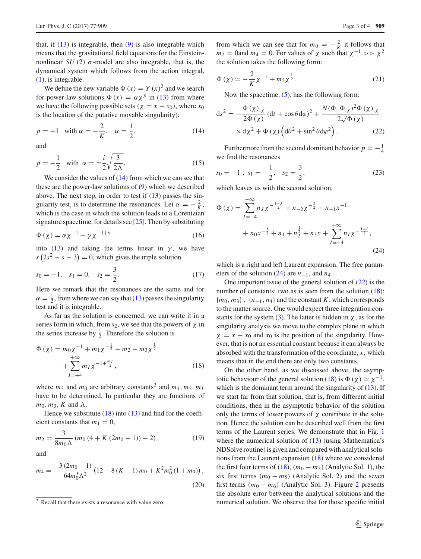that, if  $(13)$  is integrable, then  $(9)$  is also integrable which means that the gravitational field equations for the Einsteinnonlinear *SU* (2)  $\sigma$ -model are also integrable, that is, the dynamical system which follows from the action integral, [\(1\)](#page-0-5), is integrable.

We define the new variable  $\Phi(x) = Y(x)^2$  and we search for power-law solutions  $\Phi(x) = \alpha \chi^p$  in [\(13\)](#page-1-4) from where we have the following possible sets ( $\chi = x - x_0$ ), where  $x_0$ is the location of the putative movable singularity):

<span id="page-2-0"></span>
$$
p = -1
$$
 with  $\alpha = -\frac{2}{K}$ ,  $\alpha = \frac{1}{2}$ , (14)

and

$$
p = -\frac{1}{2} \quad \text{with} \quad \alpha = \pm \frac{i}{2} \sqrt{\frac{3}{2\Lambda}}. \tag{15}
$$

We consider the values of  $(14)$  from which we can see that these are the power-law solutions of [\(9\)](#page-1-3) which we described above. The next step, in order to test if [\(13\)](#page-1-4) passes the singularity test, is to determine the resonances. Let  $\alpha = -\frac{2}{K}$ , which is the case in which the solution leads to a Lorentzian signature spacetime, for details see [\[25\]](#page-3-20). Then by substituting

$$
\Phi(\chi) = \alpha \chi^{-1} + \gamma \chi^{-1+s} \tag{16}
$$

into [\(13\)](#page-1-4) and taking the terms linear in  $\gamma$ , we have  $s(2s^2 - s - 3) = 0$ , which gives the triple solution

$$
s_0 = -1, \quad s_1 = 0, \quad s_2 = \frac{3}{2}.
$$
 (17)

Here we remark that the resonances are the same and for  $\alpha = \frac{1}{2}$ , from where we can say that [\(13\)](#page-1-4) passes the singularity test and it is integrable.

As far as the solution is concerned, we can write it in a series form in which, from  $s_2$ , we see that the powers of  $\chi$  in the series increase by  $\frac{1}{2}$ . Therefore the solution is

<span id="page-2-2"></span>
$$
\Phi(\chi) = m_0 \chi^{-1} + m_1 \chi^{-\frac{1}{2}} + m_2 + m_3 \chi^{\frac{1}{2}} + \sum_{I=-+4}^{+\infty} m_I \chi^{-1 + \frac{m_I}{2}},
$$
\n(18)

where  $m_3$  and  $m_0$  are arbitrary constants<sup>2</sup> and  $m_1, m_2, m_I$ have to be determined. In particular they are functions of  $m_0$ ,  $m_3$ , *K* and  $\Lambda$ .

Hence we substitute  $(18)$  into  $(13)$  and find for the coefficient constants that  $m_1 = 0$ ,

$$
m_2 = \frac{3}{8m_0\Lambda} (m_0 (4 + K (2m_0 - 1)) - 2), \qquad (19)
$$

and

$$
m_4 = -\frac{3(2m_0 - 1)}{64m_0^3\Lambda^2} \left(12 + 8\left(K - 1\right)m_0 + K^2m_0^2\left(1 + m_0\right)\right),\tag{20}
$$

from which we can see that for  $m_0 = -\frac{2}{K}$  it follows that  $m_2$  = 0and  $m_4$  = 0. For values of  $\chi$  such that  $\chi^{-1}$  >>  $\chi^2$ the solution takes the following form:

$$
\Phi(\chi) \simeq -\frac{2}{K} \chi^{-1} + m_3 \chi^{\frac{1}{2}}.
$$
 (21)

Now the spacetime,  $(5)$ , has the following form:

<span id="page-2-4"></span>
$$
ds^{2} = -\frac{\Phi(\chi)_{,\chi}}{2\Phi(\chi)} (dt + \cos\theta d\varphi)^{2} + \frac{N(\Phi, \Phi_{,\chi})^{2}\Phi(\chi)_{,\chi}}{2\sqrt{\Phi(\chi)}} \times d\chi^{2} + \Phi(\chi) \left(d\theta^{2} + \sin^{2}\theta d\varphi^{2}\right).
$$
 (22)

Furthermore from the second dominant behavior  $p = -\frac{1}{4}$ we find the resonances

$$
s_0 = -1, \ s_1 = -\frac{1}{2}, \ s_2 = \frac{3}{2}, \tag{23}
$$

which leaves us with the second solution,

<span id="page-2-3"></span>
$$
\Phi(\chi) = \sum_{I=-4}^{-\infty} n_J \chi^{-\frac{1+J}{2}} + n_{-2} \chi^{-\frac{3}{2}} + n_{-1} \chi^{-1}
$$
  
+  $n_0 \chi^{-\frac{1}{2}} + n_1 + n_2^{\frac{1}{2}} + n_3 \chi + \sum_{I=+4}^{+\infty} n_I \chi^{-\frac{1+I}{2}},$  (24)

which is a right and left Laurent expansion. The free parameters of the solution  $(24)$  are  $n_{-1}$ , and  $n_4$ .

One important issue of the general solution of  $(22)$  is the number of constants: two as is seen from the solution [\(18\)](#page-2-2);  ${m_0, m_3}$ ,  ${n_{-1}, n_4}$  and the constant *K*, which corresponds to the matter source. One would expect three integration con-stants for the system [\(3\)](#page-0-6). The latter is hidden in  $\chi$ , as for the singularity analysis we move to the complex plane in which  $\chi = x - x_0$  and  $x_0$  is the position of the singularity. However, that is not an essential constant because it can always be absorbed with the transformation of the coordinate, *x*, which means that in the end there are only two constants.

On the other hand, as we discussed above, the asymp-totic behaviour of the general solution [\(18\)](#page-2-2) is  $\Phi(\chi) \simeq \chi^{-1}$ , which is the dominant term around the singularity of  $(13)$ . If we start far from that solution, that is, from different initial conditions, then in the asymptotic behavior of the solution only the terms of lower powers of  $\chi$  contribute in the solution. Hence the solution can be described well from the first terms of the Laurent series. We demonstrate that in Fig. [1](#page-3-21) where the numerical solution of  $(13)$  (using Mathematica's NDSolve routine) is given and compared with analytical solutions from the Laurent expansion [\(18\)](#page-2-2) where we considered the first four terms of [\(18\)](#page-2-2),  $(m_0 - m_3)$  (Analytic Sol. 1), the six first terms  $(m_0 - m_5)$  (Analytic Sol. 2) and the seven first terms  $(m_0 - m_6)$  (Analytic Sol. 3). Figure [2](#page-3-22) presents the absolute error between the analytical solutions and the numerical solution. We observe that for those specific initial

<span id="page-2-1"></span><sup>2</sup> Recall that there exists a resonance with value zero.